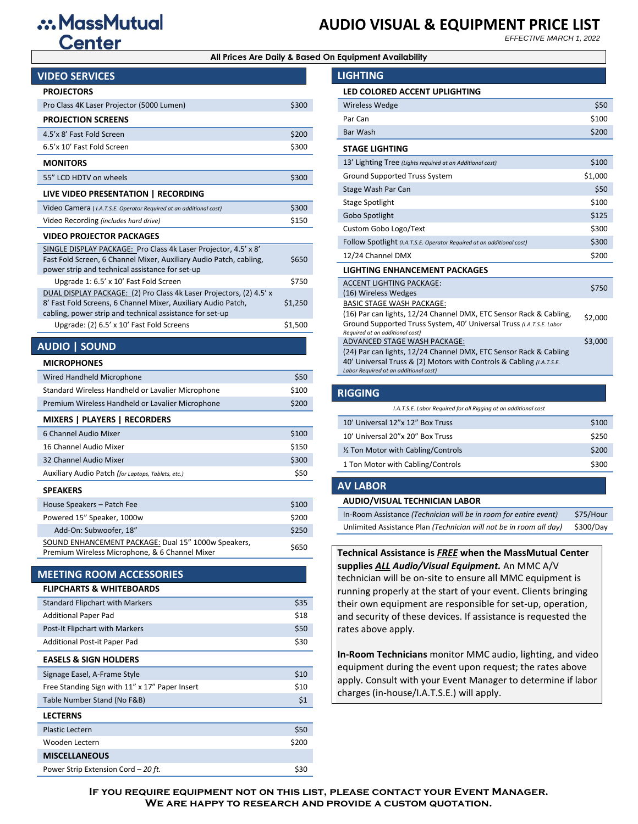# .: MassMutual **Center**

# **AUDIO VISUAL & EQUIPMENT PRICE LIST**

*EFFECTIVE MARCH 1, 2022*

#### **All Prices Are Daily & Based On Equipment Availability**

| <b>VIDEO SERVICES</b>                                                                                                                                                                            |         |
|--------------------------------------------------------------------------------------------------------------------------------------------------------------------------------------------------|---------|
| <b>PROJECTORS</b>                                                                                                                                                                                |         |
| Pro Class 4K Laser Projector (5000 Lumen)                                                                                                                                                        | \$300   |
| <b>PROJECTION SCREENS</b>                                                                                                                                                                        |         |
| 4.5'x 8' Fast Fold Screen                                                                                                                                                                        | \$200   |
| 6.5'x 10' Fast Fold Screen                                                                                                                                                                       | \$300   |
| <b>MONITORS</b>                                                                                                                                                                                  |         |
| 55" LCD HDTV on wheels                                                                                                                                                                           | \$300   |
| LIVE VIDEO PRESENTATION   RECORDING                                                                                                                                                              |         |
| Video Camera (I.A.T.S.E. Operator Required at an additional cost)                                                                                                                                | \$300   |
| Video Recording (includes hard drive)                                                                                                                                                            | \$150   |
| <b>VIDEO PROJECTOR PACKAGES</b>                                                                                                                                                                  |         |
| SINGLE DISPLAY PACKAGE: Pro Class 4k Laser Projector, 4.5' x 8'<br>Fast Fold Screen, 6 Channel Mixer, Auxiliary Audio Patch, cabling,<br>power strip and technical assistance for set-up         | \$650   |
| Upgrade 1: 6.5' x 10' Fast Fold Screen                                                                                                                                                           | \$750   |
| DUAL DISPLAY PACKAGE: (2) Pro Class 4k Laser Projectors, (2) 4.5' x<br>8' Fast Fold Screens, 6 Channel Mixer, Auxiliary Audio Patch,<br>cabling, power strip and technical assistance for set-up | \$1,250 |
| Upgrade: (2) 6.5' x 10' Fast Fold Screens                                                                                                                                                        | \$1,500 |
| <b>AUDIO   SOUND</b>                                                                                                                                                                             |         |
| <b>MICROPHONES</b>                                                                                                                                                                               |         |
| Wired Handheld Microphone                                                                                                                                                                        | \$50    |
| Standard Wireless Handheld or Lavalier Microphone                                                                                                                                                | \$100   |
| Premium Wireless Handheld or Lavalier Microphone                                                                                                                                                 | \$200   |
| <b>MIXERS   PLAYERS   RECORDERS</b>                                                                                                                                                              |         |
| 6 Channel Audio Mixer                                                                                                                                                                            | \$100   |
| 16 Channel Audio Mixer                                                                                                                                                                           | \$150   |
| 32 Channel Audio Mixer                                                                                                                                                                           | \$300   |
| Auxiliary Audio Patch (for Laptops, Tablets, etc.)                                                                                                                                               | \$50    |
| <b>SPEAKERS</b>                                                                                                                                                                                  |         |
| House Speakers – Patch Fee                                                                                                                                                                       | \$100   |

Powered 15" Speaker, 1000w \$200 Add-On: Subwoofer, 18"  $\sim$  \$250 SOUND ENHANCEMENT PACKAGE: Dual 15" 1000w Speakers, **SOOND ENHANCEMENT PACKAGE.** Dual 15 TOOOW Speakers, \$650<br>Premium Wireless Microphone, & 6 Channel Mixer

#### **MEETING ROOM ACCESSORIES**

#### **FLIPCHARTS & WHITEBOARDS**

| <b>Standard Flipchart with Markers</b>         | \$35  |
|------------------------------------------------|-------|
| <b>Additional Paper Pad</b>                    | \$18  |
| <b>Post-It Flipchart with Markers</b>          | \$50  |
| Additional Post-it Paper Pad                   | \$30  |
| <b>EASELS &amp; SIGN HOLDERS</b>               |       |
| Signage Easel, A-Frame Style                   | \$10  |
| Free Standing Sign with 11" x 17" Paper Insert | \$10  |
| Table Number Stand (No F&B)                    | \$1   |
| <b>LECTERNS</b>                                |       |
| <b>Plastic Lectern</b>                         | \$50  |
| Wooden Lectern                                 | \$200 |
| <b>MISCELLANEOUS</b>                           |       |
| Power Strip Extension Cord - 20 ft.            | \$30  |

| <b>LIGHTING</b>                                                                                                                                                                                                    |         |
|--------------------------------------------------------------------------------------------------------------------------------------------------------------------------------------------------------------------|---------|
| <b>LED COLORED ACCENT UPLIGHTING</b>                                                                                                                                                                               |         |
| <b>Wireless Wedge</b>                                                                                                                                                                                              | \$50    |
| Par Can                                                                                                                                                                                                            | \$100   |
| <b>Bar Wash</b>                                                                                                                                                                                                    | \$200   |
| <b>STAGE LIGHTING</b>                                                                                                                                                                                              |         |
| 13' Lighting Tree (Lights required at an Additional cost)                                                                                                                                                          | \$100   |
| Ground Supported Truss System                                                                                                                                                                                      | \$1,000 |
| Stage Wash Par Can                                                                                                                                                                                                 | \$50    |
| Stage Spotlight                                                                                                                                                                                                    | \$100   |
| Gobo Spotlight                                                                                                                                                                                                     | \$125   |
| Custom Gobo Logo/Text                                                                                                                                                                                              | \$300   |
| Follow Spotlight (I.A.T.S.E. Operator Required at an additional cost)                                                                                                                                              | \$300   |
| 12/24 Channel DMX                                                                                                                                                                                                  | \$200   |
| <b>LIGHTING ENHANCEMENT PACKAGES</b>                                                                                                                                                                               |         |
| <b>ACCENT LIGHTING PACKAGE:</b>                                                                                                                                                                                    | \$750   |
| (16) Wireless Wedges                                                                                                                                                                                               |         |
| <b>BASIC STAGE WASH PACKAGE:</b><br>(16) Par can lights, 12/24 Channel DMX, ETC Sensor Rack & Cabling,<br>Ground Supported Truss System, 40' Universal Truss (I.A.T.S.E. Labor<br>Required at an additional cost)  | \$2,000 |
| ADVANCED STAGE WASH PACKAGE:<br>(24) Par can lights, 12/24 Channel DMX, ETC Sensor Rack & Cabling<br>40' Universal Truss & (2) Motors with Controls & Cabling (I.A.T.S.E.<br>Labor Required at an additional cost) | \$3,000 |
|                                                                                                                                                                                                                    |         |

### **RIGGING**

| I.A.T.S.E. Labor Required for all Rigging at an additional cost |       |
|-----------------------------------------------------------------|-------|
| 10' Universal 12"x 12" Box Truss                                | \$100 |
| 10' Universal 20"x 20" Box Truss                                | \$250 |
| 1/2 Ton Motor with Cabling/Controls                             | \$200 |
| 1 Ton Motor with Cabling/Controls                               | \$300 |
|                                                                 |       |

#### **AV LABOR**

#### **AUDIO/VISUAL TECHNICIAN LABOR**

| In-Room Assistance (Technician will be in room for entire event)   | \$75/Hour |
|--------------------------------------------------------------------|-----------|
| Unlimited Assistance Plan (Technician will not be in room all day) | \$300/Day |

### **Technical Assistance is** *FREE* **when the MassMutual Center supplies** *ALL Audio/Visual Equipment.* An MMC A/V

technician will be on-site to ensure all MMC equipment is running properly at the start of your event. Clients bringing their own equipment are responsible for set-up, operation, and security of these devices. If assistance is requested the rates above apply.

**In-Room Technicians** monitor MMC audio, lighting, and video equipment during the event upon request; the rates above apply. Consult with your Event Manager to determine if labor charges (in-house/I.A.T.S.E.) will apply.

**If you require equipment not on this list, please contact your Event Manager. We are happy to research and provide a custom quotation.**